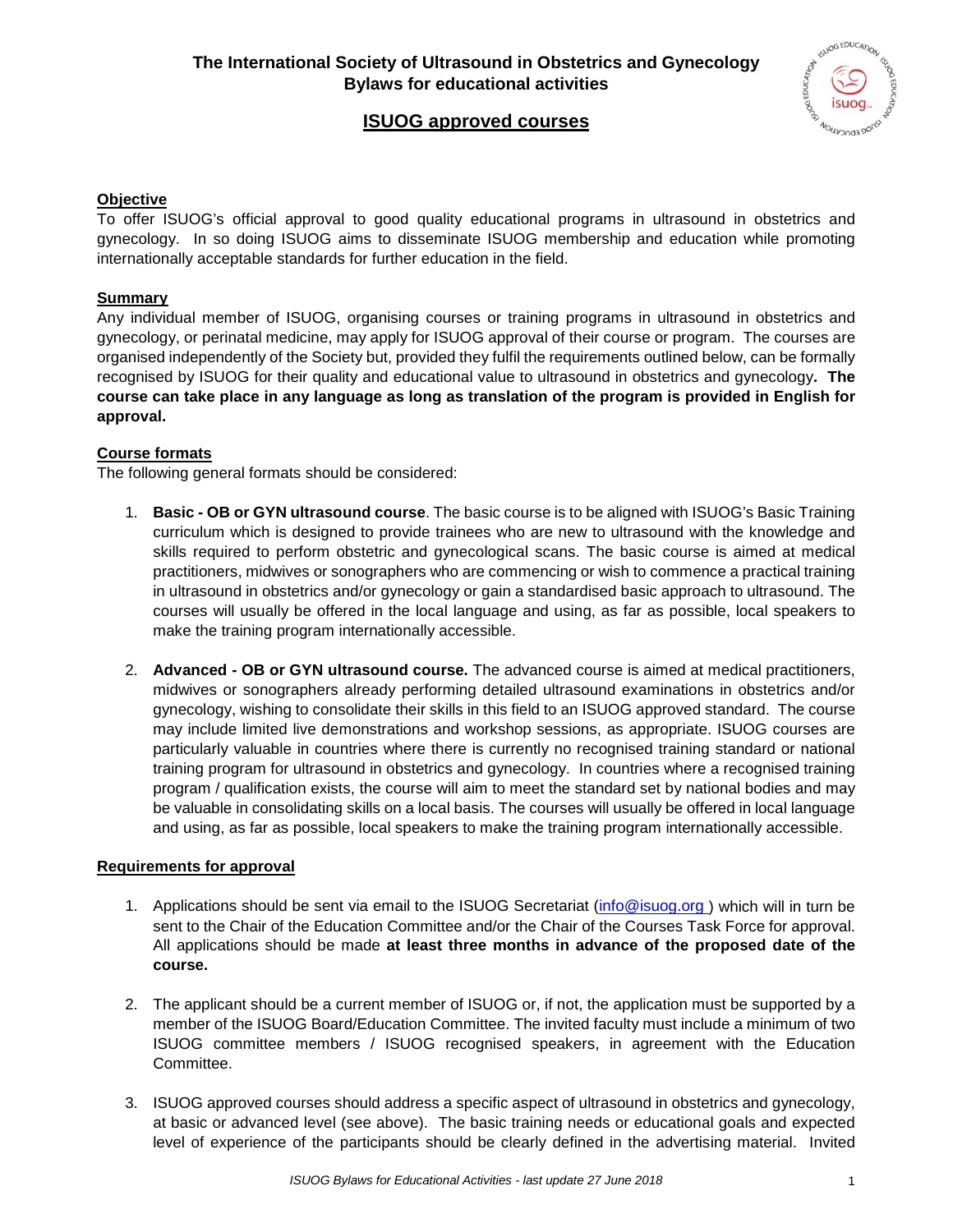## **The International Society of Ultrasound in Obstetrics and Gynecology Bylaws for educational activities**



# **ISUOG approved courses**

#### **Objective**

To offer ISUOG's official approval to good quality educational programs in ultrasound in obstetrics and gynecology. In so doing ISUOG aims to disseminate ISUOG membership and education while promoting internationally acceptable standards for further education in the field.

#### **Summary**

Any individual member of ISUOG, organising courses or training programs in ultrasound in obstetrics and gynecology, or perinatal medicine, may apply for ISUOG approval of their course or program. The courses are organised independently of the Society but, provided they fulfil the requirements outlined below, can be formally recognised by ISUOG for their quality and educational value to ultrasound in obstetrics and gynecology**. The course can take place in any language as long as translation of the program is provided in English for approval.**

#### **Course formats**

The following general formats should be considered:

- 1. **Basic - OB or GYN ultrasound course**. The basic course is to be aligned with ISUOG's Basic Training curriculum which is designed to provide trainees who are new to ultrasound with the knowledge and skills required to perform obstetric and gynecological scans. The basic course is aimed at medical practitioners, midwives or sonographers who are commencing or wish to commence a practical training in ultrasound in obstetrics and/or gynecology or gain a standardised basic approach to ultrasound. The courses will usually be offered in the local language and using, as far as possible, local speakers to make the training program internationally accessible.
- 2. **Advanced - OB or GYN ultrasound course.** The advanced course is aimed at medical practitioners, midwives or sonographers already performing detailed ultrasound examinations in obstetrics and/or gynecology, wishing to consolidate their skills in this field to an ISUOG approved standard. The course may include limited live demonstrations and workshop sessions, as appropriate. ISUOG courses are particularly valuable in countries where there is currently no recognised training standard or national training program for ultrasound in obstetrics and gynecology. In countries where a recognised training program / qualification exists, the course will aim to meet the standard set by national bodies and may be valuable in consolidating skills on a local basis. The courses will usually be offered in local language and using, as far as possible, local speakers to make the training program internationally accessible.

### **Requirements for approval**

- 1. Applications should be sent via email to the ISUOG Secretariat [\(info@isuog.org \)](mailto:info@isuog.org) which will in turn be sent to the Chair of the Education Committee and/or the Chair of the Courses Task Force for approval. All applications should be made **at least three months in advance of the proposed date of the course.**
- 2. The applicant should be a current member of ISUOG or, if not, the application must be supported by a member of the ISUOG Board/Education Committee. The invited faculty must include a minimum of two ISUOG committee members / ISUOG recognised speakers, in agreement with the Education Committee.
- 3. ISUOG approved courses should address a specific aspect of ultrasound in obstetrics and gynecology, at basic or advanced level (see above). The basic training needs or educational goals and expected level of experience of the participants should be clearly defined in the advertising material. Invited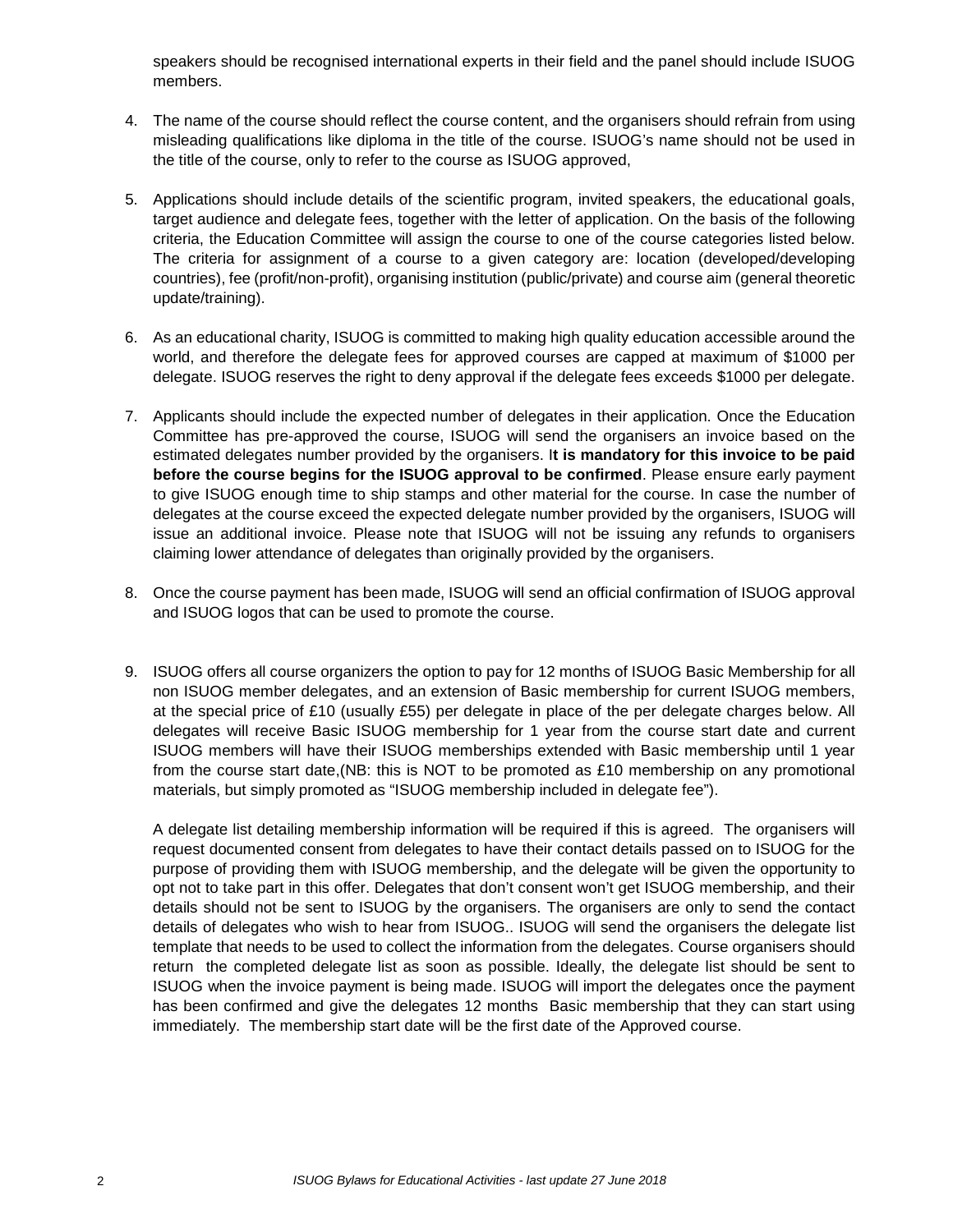speakers should be recognised international experts in their field and the panel should include ISUOG members.

- 4. The name of the course should reflect the course content, and the organisers should refrain from using misleading qualifications like diploma in the title of the course. ISUOG's name should not be used in the title of the course, only to refer to the course as ISUOG approved,
- 5. Applications should include details of the scientific program, invited speakers, the educational goals, target audience and delegate fees, together with the letter of application. On the basis of the following criteria, the Education Committee will assign the course to one of the course categories listed below. The criteria for assignment of a course to a given category are: location (developed/developing countries), fee (profit/non-profit), organising institution (public/private) and course aim (general theoretic update/training).
- 6. As an educational charity, ISUOG is committed to making high quality education accessible around the world, and therefore the delegate fees for approved courses are capped at maximum of \$1000 per delegate. ISUOG reserves the right to deny approval if the delegate fees exceeds \$1000 per delegate.
- 7. Applicants should include the expected number of delegates in their application. Once the Education Committee has pre-approved the course, ISUOG will send the organisers an invoice based on the estimated delegates number provided by the organisers. I**t is mandatory for this invoice to be paid before the course begins for the ISUOG approval to be confirmed**. Please ensure early payment to give ISUOG enough time to ship stamps and other material for the course. In case the number of delegates at the course exceed the expected delegate number provided by the organisers, ISUOG will issue an additional invoice. Please note that ISUOG will not be issuing any refunds to organisers claiming lower attendance of delegates than originally provided by the organisers.
- 8. Once the course payment has been made, ISUOG will send an official confirmation of ISUOG approval and ISUOG logos that can be used to promote the course.
- 9. ISUOG offers all course organizers the option to pay for 12 months of ISUOG Basic Membership for all non ISUOG member delegates, and an extension of Basic membership for current ISUOG members, at the special price of £10 (usually £55) per delegate in place of the per delegate charges below. All delegates will receive Basic ISUOG membership for 1 year from the course start date and current ISUOG members will have their ISUOG memberships extended with Basic membership until 1 year from the course start date,(NB: this is NOT to be promoted as £10 membership on any promotional materials, but simply promoted as "ISUOG membership included in delegate fee").

A delegate list detailing membership information will be required if this is agreed. The organisers will request documented consent from delegates to have their contact details passed on to ISUOG for the purpose of providing them with ISUOG membership, and the delegate will be given the opportunity to opt not to take part in this offer. Delegates that don't consent won't get ISUOG membership, and their details should not be sent to ISUOG by the organisers. The organisers are only to send the contact details of delegates who wish to hear from ISUOG.. ISUOG will send the organisers the delegate list template that needs to be used to collect the information from the delegates. Course organisers should return the completed delegate list as soon as possible. Ideally, the delegate list should be sent to ISUOG when the invoice payment is being made. ISUOG will import the delegates once the payment has been confirmed and give the delegates 12 months Basic membership that they can start using immediately. The membership start date will be the first date of the Approved course.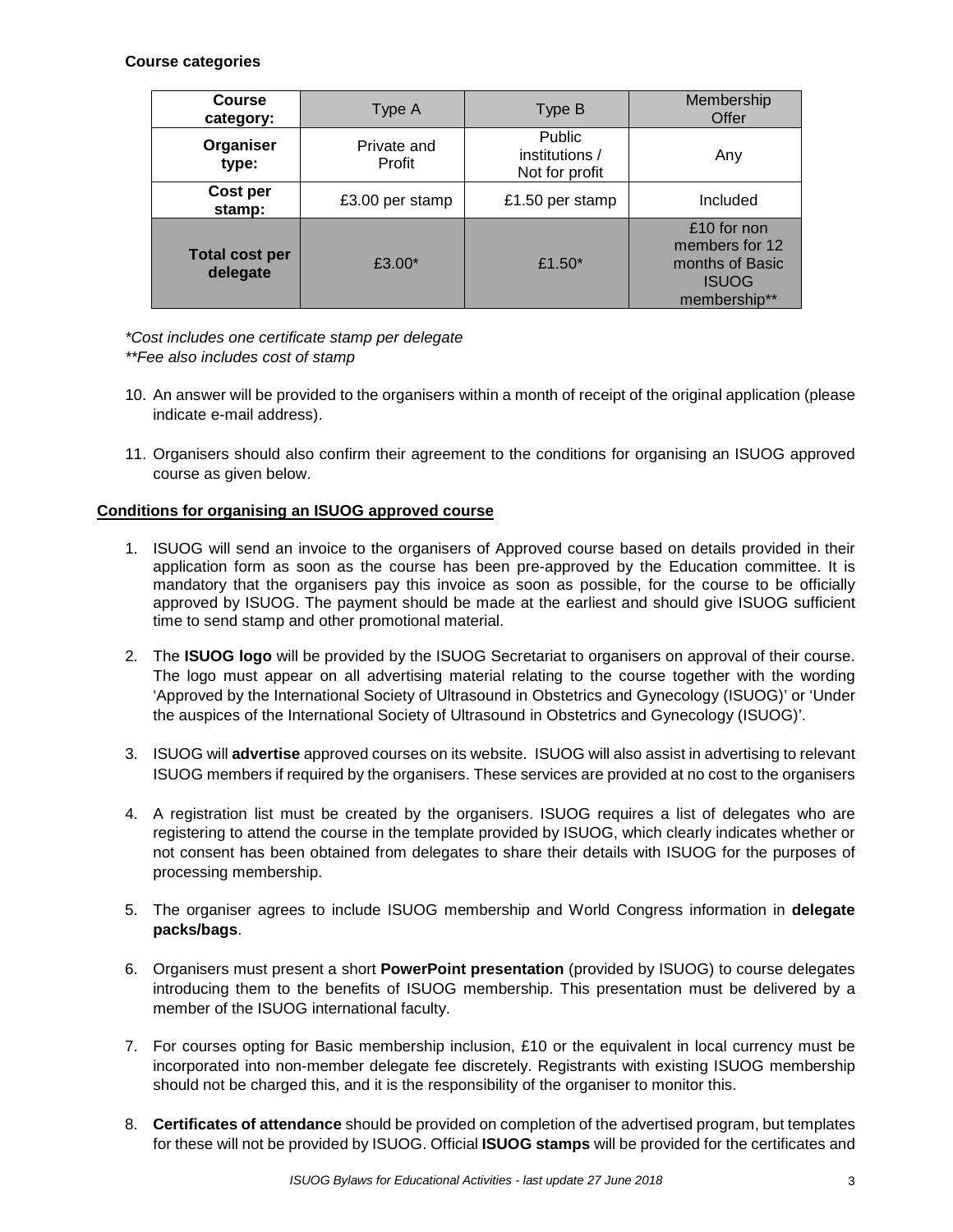#### **Course categories**

| <b>Course</b><br>category: | Type A                | Type B                                            | Membership<br>Offer                                                              |
|----------------------------|-----------------------|---------------------------------------------------|----------------------------------------------------------------------------------|
| Organiser<br>type:         | Private and<br>Profit | <b>Public</b><br>institutions /<br>Not for profit | Any                                                                              |
| Cost per<br>stamp:         | £3.00 per stamp       | £1.50 per stamp                                   | Included                                                                         |
| Total cost per<br>delegate | £3.00 $*$             | £1.50 $*$                                         | £10 for non<br>members for 12<br>months of Basic<br><b>ISUOG</b><br>membership** |

*\*Cost includes one certificate stamp per delegate \*\*Fee also includes cost of stamp*

- 10. An answer will be provided to the organisers within a month of receipt of the original application (please indicate e-mail address).
- 11. Organisers should also confirm their agreement to the conditions for organising an ISUOG approved course as given below.

#### **Conditions for organising an ISUOG approved course**

- 1. ISUOG will send an invoice to the organisers of Approved course based on details provided in their application form as soon as the course has been pre-approved by the Education committee. It is mandatory that the organisers pay this invoice as soon as possible, for the course to be officially approved by ISUOG. The payment should be made at the earliest and should give ISUOG sufficient time to send stamp and other promotional material.
- 2. The **ISUOG logo** will be provided by the ISUOG Secretariat to organisers on approval of their course. The logo must appear on all advertising material relating to the course together with the wording 'Approved by the International Society of Ultrasound in Obstetrics and Gynecology (ISUOG)' or 'Under the auspices of the International Society of Ultrasound in Obstetrics and Gynecology (ISUOG)'.
- 3. ISUOG will **advertise** approved courses on its website. ISUOG will also assist in advertising to relevant ISUOG members if required by the organisers. These services are provided at no cost to the organisers
- 4. A registration list must be created by the organisers. ISUOG requires a list of delegates who are registering to attend the course in the template provided by ISUOG, which clearly indicates whether or not consent has been obtained from delegates to share their details with ISUOG for the purposes of processing membership.
- 5. The organiser agrees to include ISUOG membership and World Congress information in **delegate packs/bags**.
- 6. Organisers must present a short **PowerPoint presentation** (provided by ISUOG) to course delegates introducing them to the benefits of ISUOG membership. This presentation must be delivered by a member of the ISUOG international faculty.
- 7. For courses opting for Basic membership inclusion, £10 or the equivalent in local currency must be incorporated into non-member delegate fee discretely. Registrants with existing ISUOG membership should not be charged this, and it is the responsibility of the organiser to monitor this.
- 8. **Certificates of attendance** should be provided on completion of the advertised program, but templates for these will not be provided by ISUOG. Official **ISUOG stamps** will be provided for the certificates and